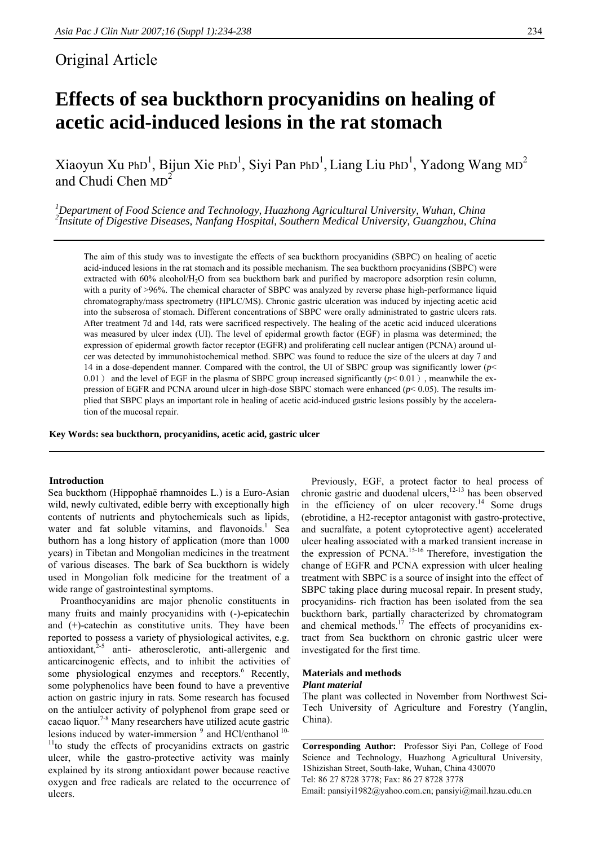# Original Article

# **Effects of sea buckthorn procyanidins on healing of acetic acid-induced lesions in the rat stomach**

Xiaoyun Xu PhD<sup>1</sup>, Bijun Xie PhD<sup>1</sup>, Siyi Pan PhD<sup>1</sup>, Liang Liu PhD<sup>1</sup>, Yadong Wang MD<sup>2</sup> and Chudi Chen  $MD<sup>2</sup>$ 

*1 Department of Food Science and Technology, Huazhong Agricultural University, Wuhan, China <sup>2</sup> Insitute of Digestive Diseases, Nanfang Hospital, Southern Medical University, Guangzhou, China* 

The aim of this study was to investigate the effects of sea buckthorn procyanidins (SBPC) on healing of acetic acid-induced lesions in the rat stomach and its possible mechanism. The sea buckthorn procyanidins (SBPC) were extracted with 60% alcohol/H<sub>2</sub>O from sea buckthorn bark and purified by macropore adsorption resin column, with a purity of >96%. The chemical character of SBPC was analyzed by reverse phase high-performance liquid chromatography/mass spectrometry (HPLC/MS). Chronic gastric ulceration was induced by injecting acetic acid into the subserosa of stomach. Different concentrations of SBPC were orally administrated to gastric ulcers rats. After treatment 7d and 14d, rats were sacrificed respectively. The healing of the acetic acid induced ulcerations was measured by ulcer index (UI). The level of epidermal growth factor (EGF) in plasma was determined; the expression of epidermal growth factor receptor (EGFR) and proliferating cell nuclear antigen (PCNA) around ulcer was detected by immunohistochemical method. SBPC was found to reduce the size of the ulcers at day 7 and 14 in a dose-dependent manner. Compared with the control, the UI of SBPC group was significantly lower (*p*< 0.01) and the level of EGF in the plasma of SBPC group increased significantly  $(p< 0.01)$ , meanwhile the expression of EGFR and PCNA around ulcer in high-dose SBPC stomach were enhanced (*p*< 0.05). The results implied that SBPC plays an important role in healing of acetic acid-induced gastric lesions possibly by the acceleration of the mucosal repair.

**Key Words: sea buckthorn, procyanidins, acetic acid, gastric ulcer** 

# **Introduction**

Sea buckthorn (Hippophaë rhamnoides L.) is a Euro-Asian wild, newly cultivated, edible berry with exceptionally high contents of nutrients and phytochemicals such as lipids, water and fat soluble vitamins, and flavonoids.<sup>1</sup> Sea buthorn has a long history of application (more than 1000 years) in Tibetan and Mongolian medicines in the treatment of various diseases. The bark of Sea buckthorn is widely used in Mongolian folk medicine for the treatment of a wide range of gastrointestinal symptoms.

 Proanthocyanidins are major phenolic constituents in many fruits and mainly procyanidins with (-)-epicatechin and (+)-catechin as constitutive units. They have been reported to possess a variety of physiological activites, e.g.  $anti<sub>2-5</sub>$  anti-atherosclerotic, anti-allergenic and anticarcinogenic effects, and to inhibit the activities of some physiological enzymes and receptors.<sup>6</sup> Recently, some polyphenolics have been found to have a preventive action on gastric injury in rats. Some research has focused on the antiulcer activity of polyphenol from grape seed or cacao liquor.<sup>7-8</sup> Many researchers have utilized acute gastric lesions induced by water-immersion  $9$  and HCl/enthanol  $10$ -<sup>11</sup>to study the effects of procyanidins extracts on gastric ulcer, while the gastro-protective activity was mainly explained by its strong antioxidant power because reactive oxygen and free radicals are related to the occurrence of ulcers.

Previously, EGF, a protect factor to heal process of chronic gastric and duodenal ulcers, $12-13$  has been observed in the efficiency of on ulcer recovery.<sup>14</sup> Some drugs (ebrotidine, a H2-receptor antagonist with gastro-protective, and sucralfate, a potent cytoprotective agent) accelerated ulcer healing associated with a marked transient increase in the expression of PCNA.<sup>15-16</sup> Therefore, investigation the change of EGFR and PCNA expression with ulcer healing treatment with SBPC is a source of insight into the effect of SBPC taking place during mucosal repair. In present study, procyanidins- rich fraction has been isolated from the sea buckthorn bark, partially characterized by chromatogram and chemical methods.<sup>17</sup> The effects of procyanidins extract from Sea buckthorn on chronic gastric ulcer were investigated for the first time.

#### **Materials and methods**  *Plant material*

The plant was collected in November from Northwest Sci-Tech University of Agriculture and Forestry (Yanglin, China).

**Corresponding Author:** Professor Siyi Pan, College of Food Science and Technology, Huazhong Agricultural University, 1Shizishan Street, South-lake, Wuhan, China 430070 Tel: 86 27 8728 3778; Fax: 86 27 8728 3778 Email: pansiyi1982@yahoo.com.cn; pansiyi@mail.hzau.edu.cn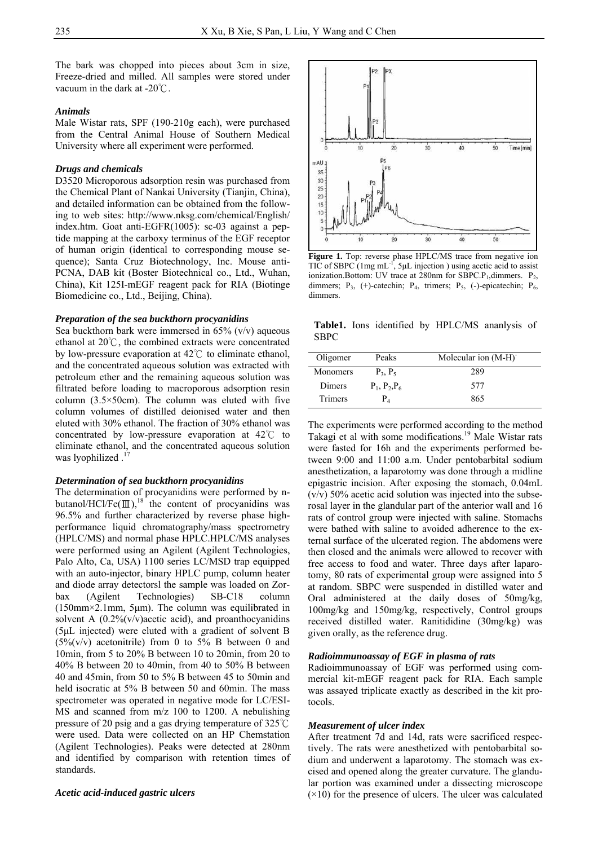The bark was chopped into pieces about 3cm in size, Freeze-dried and milled. All samples were stored under vacuum in the dark at  $-20^{\circ}$ C.

### *Animals*

Male Wistar rats, SPF (190-210g each), were purchased from the Central Animal House of Southern Medical University where all experiment were performed.

# *Drugs and chemicals*

D3520 Microporous adsorption resin was purchased from the Chemical Plant of Nankai University (Tianjin, China), and detailed information can be obtained from the following to web sites: http://www.nksg.com/chemical/English/ index.htm. Goat anti-EGFR(1005): sc-03 against a peptide mapping at the carboxy terminus of the EGF receptor of human origin (identical to corresponding mouse sequence); Santa Cruz Biotechnology, Inc. Mouse anti-PCNA, DAB kit (Boster Biotechnical co., Ltd., Wuhan, China), Kit 125I-mEGF reagent pack for RIA (Biotinge Biomedicine co., Ltd., Beijing, China).

#### *Preparation of the sea buckthorn procyanidins*

Sea buckthorn bark were immersed in  $65\%$  (v/v) aqueous ethanol at  $20^{\circ}$ C, the combined extracts were concentrated by low-pressure evaporation at  $42^{\circ}$  to eliminate ethanol, and the concentrated aqueous solution was extracted with petroleum ether and the remaining aqueous solution was filtrated before loading to macroporous adsorption resin column  $(3.5 \times 50$ cm). The column was eluted with five column volumes of distilled deionised water and then eluted with 30% ethanol. The fraction of 30% ethanol was concentrated by low-pressure evaporation at  $42^{\circ}$  to eliminate ethanol, and the concentrated aqueous solution was lyophilized.

#### *Determination of sea buckthorn procyanidins*

The determination of procyanidins were performed by nbutanol/HCl/Fe( $\mathbb{II}$ ), <sup>18</sup> the content of procyanidins was 96.5% and further characterized by reverse phase highperformance liquid chromatography/mass spectrometry (HPLC/MS) and normal phase HPLC.HPLC/MS analyses were performed using an Agilent (Agilent Technologies, Palo Alto, Ca, USA) 1100 series LC/MSD trap equipped with an auto-injector, binary HPLC pump, column heater and diode array detectorsl the sample was loaded on Zorbax (Agilent Technologies) SB-C18 column (150mm×2.1mm, 5μm). The column was equilibrated in solvent A  $(0.2\% (v/v))$  acetic acid), and proanthocyanidins (5μL injected) were eluted with a gradient of solvent B  $(5\%(v/v))$  acetonitrile) from 0 to 5% B between 0 and 10min, from 5 to 20% B between 10 to 20min, from 20 to 40% B between 20 to 40min, from 40 to 50% B between 40 and 45min, from 50 to 5% B between 45 to 50min and held isocratic at 5% B between 50 and 60min. The mass spectrometer was operated in negative mode for LC/ESI-MS and scanned from m/z 100 to 1200. A nebulishing pressure of 20 psig and a gas drying temperature of 325 ℃ were used. Data were collected on an HP Chemstation (Agilent Technologies). Peaks were detected at 280nm and identified by comparison with retention times of standards.

#### *Acetic acid-induced gastric ulcers*



Figure 1. Top: reverse phase HPLC/MS trace from negative ion TIC of SBPC  $(1mg mL^{-1}, 5\mu L)$  injection ) using acetic acid to assist ionization.Bottom: UV trace at  $280$ nm for  $SBPC.P<sub>1</sub>,$ dimmers.  $P<sub>2</sub>$ , dimmers; P<sub>3</sub>, (+)-catechin; P<sub>4</sub>, trimers; P<sub>5</sub>, (-)-epicatechin; P<sub>6</sub>, dimmers.

**Table1.** Ions identified by HPLC/MS ananlysis of SBPC

| Oligomer        | Peaks           | Molecular ion (M-H) |
|-----------------|-----------------|---------------------|
| <b>Monomers</b> | $P_3$ , $P_5$   | 289                 |
| Dimers          | $P_1, P_2, P_6$ | 577                 |
| Trimers         | P,              | 865                 |

The experiments were performed according to the method Takagi et al with some modifications.<sup>19</sup> Male Wistar rats were fasted for 16h and the experiments performed between 9:00 and 11:00 a.m. Under pentobarbital sodium anesthetization, a laparotomy was done through a midline epigastric incision. After exposing the stomach, 0.04mL (v/v) 50% acetic acid solution was injected into the subserosal layer in the glandular part of the anterior wall and 16 rats of control group were injected with saline. Stomachs were bathed with saline to avoided adherence to the external surface of the ulcerated region. The abdomens were then closed and the animals were allowed to recover with free access to food and water. Three days after laparotomy, 80 rats of experimental group were assigned into 5 at random. SBPC were suspended in distilled water and Oral administered at the daily doses of 50mg/kg, 100mg/kg and 150mg/kg, respectively, Control groups received distilled water. Ranitididine (30mg/kg) was given orally, as the reference drug.

#### *Radioimmunoassay of EGF in plasma of rats*

Radioimmunoassay of EGF was performed using commercial kit-mEGF reagent pack for RIA. Each sample was assayed triplicate exactly as described in the kit protocols.

#### *Measurement of ulcer index*

After treatment 7d and 14d, rats were sacrificed respectively. The rats were anesthetized with pentobarbital sodium and underwent a laparotomy. The stomach was excised and opened along the greater curvature. The glandular portion was examined under a dissecting microscope  $(\times 10)$  for the presence of ulcers. The ulcer was calculated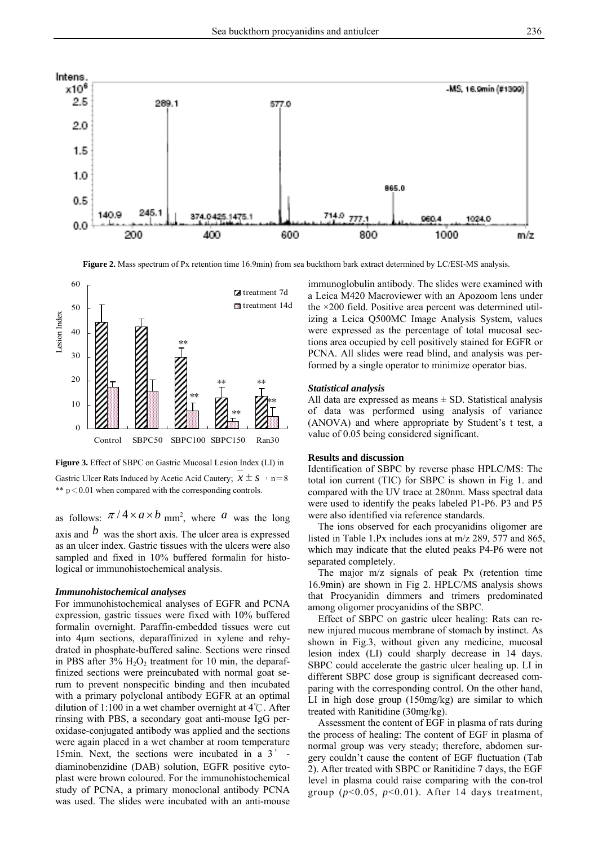

**Figure 2.** Mass spectrum of Px retention time 16.9min) from sea buckthorn bark extract determined by LC/ESI-MS analysis.



**Figure 3.** Effect of SBPC on Gastric Mucosal Lesion Index (LI) in Gastric Ulcer Rats Induced by Acetic Acid Cautery;  $x \pm s$ ,  $n=8$ \*\*  $p < 0.01$  when compared with the corresponding controls.

as follows:  $\pi/4 \times a \times b$  mm<sup>2</sup>, where *a* was the long axis and  $\mathbf{b}$  was the short axis. The ulcer area is expressed

as an ulcer index. Gastric tissues with the ulcers were also sampled and fixed in 10% buffered formalin for histological or immunohistochemical analysis.

# *Immunohistochemical analyses*

For immunohistochemical analyses of EGFR and PCNA expression, gastric tissues were fixed with 10% buffered formalin overnight. Paraffin-embedded tissues were cut into 4μm sections, deparaffinized in xylene and rehydrated in phosphate-buffered saline. Sections were rinsed in PBS after  $3\%$  H<sub>2</sub>O<sub>2</sub> treatment for 10 min, the deparaffinized sections were preincubated with normal goat serum to prevent nonspecific binding and then incubated with a primary polyclonal antibody EGFR at an optimal dilution of 1:100 in a wet chamber overnight at  $4^{\circ}$ C. After rinsing with PBS, a secondary goat anti-mouse IgG peroxidase-conjugated antibody was applied and the sections were again placed in a wet chamber at room temperature 15min. Next, the sections were incubated in a 3' diaminobenzidine (DAB) solution, EGFR positive cytoplast were brown coloured. For the immunohistochemical study of PCNA, a primary monoclonal antibody PCNA was used. The slides were incubated with an anti-mouse

immunoglobulin antibody. The slides were examined with a Leica M420 Macroviewer with an Apozoom lens under the ×200 field. Positive area percent was determined utilizing a Leica Q500MC Image Analysis System, values were expressed as the percentage of total mucosal sections area occupied by cell positively stained for EGFR or PCNA. All slides were read blind, and analysis was performed by a single operator to minimize operator bias.

### *Statistical analysis*

All data are expressed as means  $\pm$  SD. Statistical analysis of data was performed using analysis of variance (ANOVA) and where appropriate by Student's t test, a value of 0.05 being considered significant.

# **Results and discussion**

Identification of SBPC by reverse phase HPLC/MS: The total ion current (TIC) for SBPC is shown in Fig 1. and compared with the UV trace at 280nm. Mass spectral data were used to identify the peaks labeled P1-P6. P3 and P5 were also identified via reference standards.

 The ions observed for each procyanidins oligomer are listed in Table 1.Px includes ions at m/z 289, 577 and 865, which may indicate that the eluted peaks P4-P6 were not separated completely.

 The major m/z signals of peak Px (retention time 16.9min) are shown in Fig 2. HPLC/MS analysis shows that Procyanidin dimmers and trimers predominated among oligomer procyanidins of the SBPC.

 Effect of SBPC on gastric ulcer healing: Rats can renew injured mucous membrane of stomach by instinct. As shown in Fig.3, without given any medicine, mucosal lesion index (LI) could sharply decrease in 14 days. SBPC could accelerate the gastric ulcer healing up. LI in different SBPC dose group is significant decreased comparing with the corresponding control. On the other hand, LI in high dose group (150mg/kg) are similar to which treated with Ranitidine (30mg/kg).

 Assessment the content of EGF in plasma of rats during the process of healing: The content of EGF in plasma of normal group was very steady; therefore, abdomen surgery couldn't cause the content of EGF fluctuation (Tab 2). After treated with SBPC or Ranitidine 7 days, the EGF level in plasma could raise comparing with the con-trol group  $(p<0.05, p<0.01)$ . After 14 days treatment,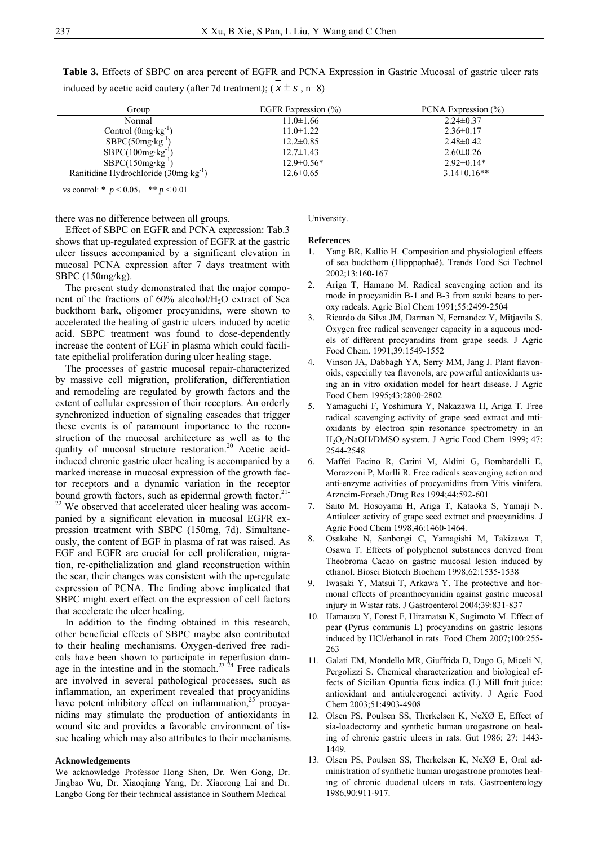Group EGFR Expression (%) PCNA Expression (%) Normal 11.0±1.66 2.24±0.37 Control (0mg·kg<sup>-1</sup>) 11.0±1.22 2.36±0.17  $SBPC(50mg \, kg^{-1})$  12.2±0.85 2.48±0.42  $SBPC(100mg \cdot kg^{-1})$  12.7±1.43 2.60±0.26

SBPC(150mg·kg<sup>-1</sup>) 12.9±0.56\* 2.92±0.14\* Ranitidine Hydrochloride (30mg·kg<sup>-1</sup>) 12.6±0.65 3.14±0.16\*\*

**Table 3.** Effects of SBPC on area percent of EGFR and PCNA Expression in Gastric Mucosal of gastric ulcer rats induced by acetic acid cautery (after 7d treatment);  $(x \pm s, n=8)$ 

vs control: \* *p* < 0.05, \*\* *p* < 0.01

there was no difference between all groups.

 Effect of SBPC on EGFR and PCNA expression: Tab.3 shows that up-regulated expression of EGFR at the gastric ulcer tissues accompanied by a significant elevation in mucosal PCNA expression after 7 days treatment with SBPC (150mg/kg).

 The present study demonstrated that the major component of the fractions of  $60\%$  alcohol/H<sub>2</sub>O extract of Sea buckthorn bark, oligomer procyanidins, were shown to accelerated the healing of gastric ulcers induced by acetic acid. SBPC treatment was found to dose-dependently increase the content of EGF in plasma which could facilitate epithelial proliferation during ulcer healing stage.

 The processes of gastric mucosal repair-characterized by massive cell migration, proliferation, differentiation and remodeling are regulated by growth factors and the extent of cellular expression of their receptors. An orderly synchronized induction of signaling cascades that trigger these events is of paramount importance to the reconstruction of the mucosal architecture as well as to the quality of mucosal structure restoration.<sup>20</sup> Acetic acidinduced chronic gastric ulcer healing is accompanied by a marked increase in mucosal expression of the growth factor receptors and a dynamic variation in the receptor bound growth factors, such as epidermal growth factor.<sup>21-</sup> <sup>22</sup> We observed that accelerated ulcer healing was accompanied by a significant elevation in mucosal EGFR expression treatment with SBPC (150mg, 7d). Simultaneously, the content of EGF in plasma of rat was raised. As EGF and EGFR are crucial for cell proliferation, migration, re-epithelialization and gland reconstruction within the scar, their changes was consistent with the up-regulate expression of PCNA. The finding above implicated that SBPC might exert effect on the expression of cell factors

 In addition to the finding obtained in this research, other beneficial effects of SBPC maybe also contributed to their healing mechanisms. Oxygen-derived free radicals have been shown to participate in reperfusion damage in the intestine and in the stomach. $23-24$  Free radicals are involved in several pathological processes, such as inflammation, an experiment revealed that procyanidins have potent inhibitory effect on inflammation, $25$  procyanidins may stimulate the production of antioxidants in wound site and provides a favorable environment of tissue healing which may also attributes to their mechanisms.

## **Acknowledgements**

that accelerate the ulcer healing.

We acknowledge Professor Hong Shen, Dr. Wen Gong, Dr. Jingbao Wu, Dr. Xiaoqiang Yang, Dr. Xiaorong Lai and Dr. Langbo Gong for their technical assistance in Southern Medical

#### University.

#### **References**

- 1. Yang BR, Kallio H. Composition and physiological effects of sea buckthorn (Hipppophaë). Trends Food Sci Technol 2002;13:160-167
- 2. Ariga T, Hamano M. Radical scavenging action and its mode in procyanidin B-1 and B-3 from azuki beans to peroxy radcals. Agric Biol Chem 1991;55:2499-2504
- 3. Ricardo da Silva JM, Darman N, Fernandez Y, Mitjavila S. Oxygen free radical scavenger capacity in a aqueous models of different procyanidins from grape seeds. J Agric Food Chem. 1991;39:1549-1552
- 4. Vinson JA, Dabbagh YA, Serry MM, Jang J. Plant flavonoids, especially tea flavonols, are powerful antioxidants using an in vitro oxidation model for heart disease. J Agric Food Chem 1995;43:2800-2802
- 5. Yamaguchi F, Yoshimura Y, Nakazawa H, Ariga T. Free radical scavenging activity of grape seed extract and tntioxidants by electron spin resonance spectrometry in an H<sub>2</sub>O<sub>2</sub>/NaOH/DMSO system. J Agric Food Chem 1999; 47: 2544-2548
- 6. Maffei Facino R, Carini M, Aldini G, Bombardelli E, Morazzoni P, Morlli R. Free radicals scavenging action and anti-enzyme activities of procyanidins from Vitis vinifera. Arzneim-Forsch./Drug Res 1994;44:592-601
- 7. Saito M, Hosoyama H, Ariga T, Kataoka S, Yamaji N. Antiulcer activity of grape seed extract and procyanidins. J Agric Food Chem 1998;46:1460-1464.
- 8. Osakabe N, Sanbongi C, Yamagishi M, Takizawa T, Osawa T. Effects of polyphenol substances derived from Theobroma Cacao on gastric mucosal lesion induced by ethanol. Biosci Biotech Biochem 1998;62:1535-1538
- 9. Iwasaki Y, Matsui T, Arkawa Y. The protective and hormonal effects of proanthocyanidin against gastric mucosal injury in Wistar rats. J Gastroenterol 2004;39:831-837
- 10. Hamauzu Y, Forest F, Hiramatsu K, Sugimoto M. Effect of pear (Pyrus communis L) procyanidins on gastric lesions induced by HCl/ethanol in rats. Food Chem 2007;100:255- 263
- 11. Galati EM, Mondello MR, Giuffrida D, Dugo G, Miceli N, Pergolizzi S. Chemical characterization and biological effects of Sicilian Opuntia ficus indica (L) Mill fruit juice: antioxidant and antiulcerogenci activity. J Agric Food Chem 2003;51:4903-4908
- 12. Olsen PS, Poulsen SS, Therkelsen K, NeXØ E, Effect of sia-loadectomy and synthetic human urogastrone on healing of chronic gastric ulcers in rats. Gut 1986; 27: 1443- 1449.
- 13. Olsen PS, Poulsen SS, Therkelsen K, NeXØ E, Oral administration of synthetic human urogastrone promotes healing of chronic duodenal ulcers in rats. Gastroenterology 1986;90:911-917.